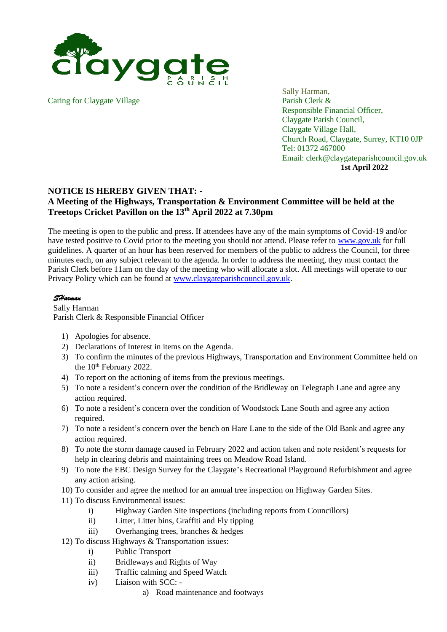

Caring for Claygate Village Parish Clerk &

Sally Harman, Responsible Financial Officer, Claygate Parish Council, Claygate Village Hall, Church Road, Claygate, Surrey, KT10 0JP Tel: 01372 467000 Email: clerk@claygateparishcouncil.gov.uk **1st April 2022**

## **NOTICE IS HEREBY GIVEN THAT: -**

## **A Meeting of the Highways, Transportation & Environment Committee will be held at the Treetops Cricket Pavillon on the 13 th April 2022 at 7.30pm**

The meeting is open to the public and press. If attendees have any of the main symptoms of Covid-19 and/or have tested positive to Covid prior to the meeting you should not attend. Please refer to [www.gov.uk](http://www.gov.uk/) for full guidelines. A quarter of an hour has been reserved for members of the public to address the Council, for three minutes each, on any subject relevant to the agenda. In order to address the meeting, they must contact the Parish Clerk before 11am on the day of the meeting who will allocate a slot. All meetings will operate to our Privacy Policy which can be found at [www.claygateparishcouncil.gov.uk.](http://www.claygateparishcouncil.gov.uk/)

## *SHarman*

Sally Harman Parish Clerk & Responsible Financial Officer

- 1) Apologies for absence.
- 2) Declarations of Interest in items on the Agenda.
- 3) To confirm the minutes of the previous Highways, Transportation and Environment Committee held on the 10<sup>th</sup> February 2022.
- 4) To report on the actioning of items from the previous meetings.
- 5) To note a resident's concern over the condition of the Bridleway on Telegraph Lane and agree any action required.
- 6) To note a resident's concern over the condition of Woodstock Lane South and agree any action required.
- 7) To note a resident's concern over the bench on Hare Lane to the side of the Old Bank and agree any action required.
- 8) To note the storm damage caused in February 2022 and action taken and note resident's requests for help in clearing debris and maintaining trees on Meadow Road Island.
- 9) To note the EBC Design Survey for the Claygate's Recreational Playground Refurbishment and agree any action arising.
- 10) To consider and agree the method for an annual tree inspection on Highway Garden Sites.
- 11) To discuss Environmental issues:
	- i) Highway Garden Site inspections (including reports from Councillors)
	- ii) Litter, Litter bins, Graffiti and Fly tipping
	- iii) Overhanging trees, branches & hedges
- 12) To discuss Highways & Transportation issues:
	- i) Public Transport
	- ii) Bridleways and Rights of Way
	- iii) Traffic calming and Speed Watch
	- iv) Liaison with SCC:
		- a) Road maintenance and footways